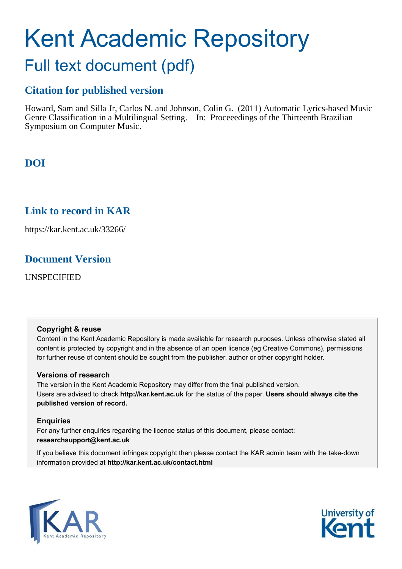# Kent Academic Repository Full text document (pdf)

## **Citation for published version**

Howard, Sam and Silla Jr, Carlos N. and Johnson, Colin G. (2011) Automatic Lyrics-based Music Genre Classification in a Multilingual Setting. In: Proceeedings of the Thirteenth Brazilian Symposium on Computer Music.

**DOI**

## **Link to record in KAR**

https://kar.kent.ac.uk/33266/

## **Document Version**

UNSPECIFIED

#### **Copyright & reuse**

Content in the Kent Academic Repository is made available for research purposes. Unless otherwise stated all content is protected by copyright and in the absence of an open licence (eg Creative Commons), permissions for further reuse of content should be sought from the publisher, author or other copyright holder.

#### **Versions of research**

The version in the Kent Academic Repository may differ from the final published version. Users are advised to check **http://kar.kent.ac.uk** for the status of the paper. **Users should always cite the published version of record.**

#### **Enquiries**

For any further enquiries regarding the licence status of this document, please contact: **researchsupport@kent.ac.uk**

If you believe this document infringes copyright then please contact the KAR admin team with the take-down information provided at **http://kar.kent.ac.uk/contact.html**



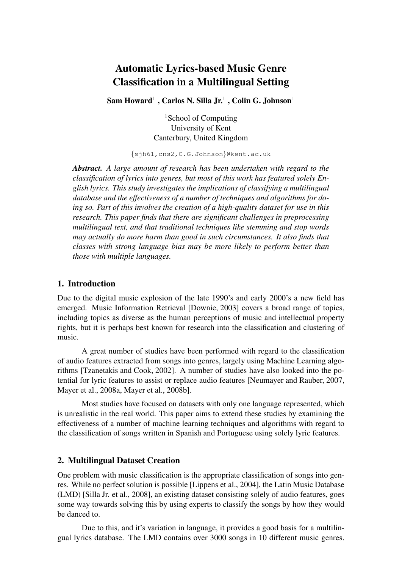## Automatic Lyrics-based Music Genre Classification in a Multilingual Setting

 $\, \mathrm{Sam}\, \mathrm{Howard^1}$  ,  $\mathrm{Carlos}\, \mathrm{N.}\, \mathrm{Silla}\, \mathrm{Jr^1}$  ,  $\mathrm{Colin}\, \mathrm{G.}\, \mathrm{Johnson^1}$ 

<sup>1</sup>School of Computing University of Kent Canterbury, United Kingdom

{sjh61,cns2,C.G.Johnson}@kent.ac.uk

*Abstract. A large amount of research has been undertaken with regard to the classification of lyrics into genres, but most of this work has featured solely English lyrics. This study investigates the implications of classifying a multilingual database and the effectiveness of a number of techniques and algorithms for doing so. Part of this involves the creation of a high-quality dataset for use in this research. This paper finds that there are significant challenges in preprocessing multilingual text, and that traditional techniques like stemming and stop words may actually do more harm than good in such circumstances. It also finds that classes with strong language bias may be more likely to perform better than those with multiple languages.*

#### 1. Introduction

Due to the digital music explosion of the late 1990's and early 2000's a new field has emerged. Music Information Retrieval [Downie, 2003] covers a broad range of topics, including topics as diverse as the human perceptions of music and intellectual property rights, but it is perhaps best known for research into the classification and clustering of music.

A great number of studies have been performed with regard to the classification of audio features extracted from songs into genres, largely using Machine Learning algorithms [Tzanetakis and Cook, 2002]. A number of studies have also looked into the potential for lyric features to assist or replace audio features [Neumayer and Rauber, 2007, Mayer et al., 2008a, Mayer et al., 2008b].

Most studies have focused on datasets with only one language represented, which is unrealistic in the real world. This paper aims to extend these studies by examining the effectiveness of a number of machine learning techniques and algorithms with regard to the classification of songs written in Spanish and Portuguese using solely lyric features.

#### 2. Multilingual Dataset Creation

One problem with music classification is the appropriate classification of songs into genres. While no perfect solution is possible [Lippens et al., 2004], the Latin Music Database (LMD) [Silla Jr. et al., 2008], an existing dataset consisting solely of audio features, goes some way towards solving this by using experts to classify the songs by how they would be danced to.

Due to this, and it's variation in language, it provides a good basis for a multilingual lyrics database. The LMD contains over 3000 songs in 10 different music genres.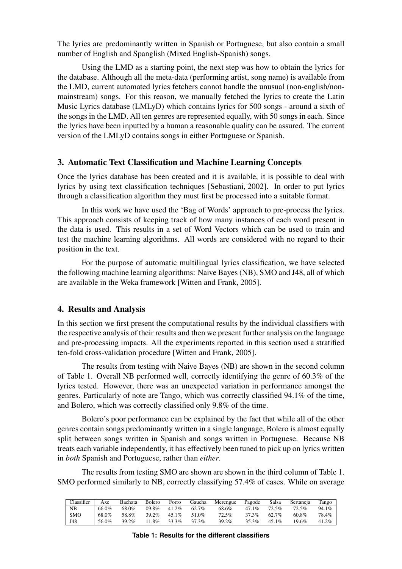The lyrics are predominantly written in Spanish or Portuguese, but also contain a small number of English and Spanglish (Mixed English-Spanish) songs.

Using the LMD as a starting point, the next step was how to obtain the lyrics for the database. Although all the meta-data (performing artist, song name) is available from the LMD, current automated lyrics fetchers cannot handle the unusual (non-english/nonmainstream) songs. For this reason, we manually fetched the lyrics to create the Latin Music Lyrics database (LMLyD) which contains lyrics for 500 songs - around a sixth of the songs in the LMD. All ten genres are represented equally, with 50 songs in each. Since the lyrics have been inputted by a human a reasonable quality can be assured. The current version of the LMLyD contains songs in either Portuguese or Spanish.

#### 3. Automatic Text Classification and Machine Learning Concepts

Once the lyrics database has been created and it is available, it is possible to deal with lyrics by using text classification techniques [Sebastiani, 2002]. In order to put lyrics through a classification algorithm they must first be processed into a suitable format.

In this work we have used the 'Bag of Words' approach to pre-process the lyrics. This approach consists of keeping track of how many instances of each word present in the data is used. This results in a set of Word Vectors which can be used to train and test the machine learning algorithms. All words are considered with no regard to their position in the text.

For the purpose of automatic multilingual lyrics classification, we have selected the following machine learning algorithms: Naive Bayes (NB), SMO and J48, all of which are available in the Weka framework [Witten and Frank, 2005].

#### 4. Results and Analysis

In this section we first present the computational results by the individual classifiers with the respective analysis of their results and then we present further analysis on the language and pre-processing impacts. All the experiments reported in this section used a stratified ten-fold cross-validation procedure [Witten and Frank, 2005].

The results from testing with Naive Bayes (NB) are shown in the second column of Table 1. Overall NB performed well, correctly identifying the genre of 60.3% of the lyrics tested. However, there was an unexpected variation in performance amongst the genres. Particularly of note are Tango, which was correctly classified 94.1% of the time, and Bolero, which was correctly classified only 9.8% of the time.

Bolero's poor performance can be explained by the fact that while all of the other genres contain songs predominantly written in a single language, Bolero is almost equally split between songs written in Spanish and songs written in Portuguese. Because NB treats each variable independently, it has effectively been tuned to pick up on lyrics written in *both* Spanish and Portuguese, rather than *either*.

The results from testing SMO are shown are shown in the third column of Table 1. SMO performed similarly to NB, correctly classifying 57.4% of cases. While on average

| Classifier | Axe   | Bachata | Bolero      | Forro | Gaucha | Merengue | Pagode   | Salsa | Sertaneia | Tango    |
|------------|-------|---------|-------------|-------|--------|----------|----------|-------|-----------|----------|
| NB         | 66.0% | 68.0%   | 09.8% 41.2% |       | 62.7%  | 68.6%    | $47.1\%$ | 72.5% | 72.5%     | $94.1\%$ |
| <b>SMO</b> | 68.0% | 58.8%   | 39.2%       | 45.1% | 51.0%  | 72.5%    | 37.3%    | 62.7% | 60.8%     | 78.4%    |
| J48        | 56.0% | 39.2%   | 11.8%       | 33.3% | 37.3%  | 39.2%    | 35.3%    | 45.1% | 19.6%     | $41.2\%$ |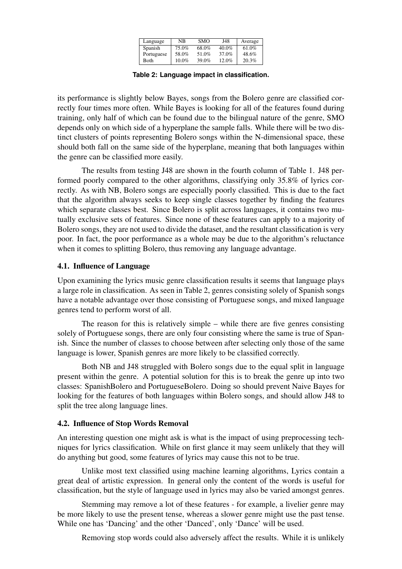| Language   | NΒ       | <b>SMO</b> | J48      | Average |
|------------|----------|------------|----------|---------|
| Spanish    | 75.0%    | 68.0%      | $40.0\%$ | 61.0%   |
| Portuguese | 58.0%    | 51.0%      | 37.0%    | 48.6%   |
| Both       | $10.0\%$ | 39.0%      | 12.0%    | 20.3%   |

**Table 2: Language impact in classification.**

its performance is slightly below Bayes, songs from the Bolero genre are classified correctly four times more often. While Bayes is looking for all of the features found during training, only half of which can be found due to the bilingual nature of the genre, SMO depends only on which side of a hyperplane the sample falls. While there will be two distinct clusters of points representing Bolero songs within the N-dimensional space, these should both fall on the same side of the hyperplane, meaning that both languages within the genre can be classified more easily.

The results from testing J48 are shown in the fourth column of Table 1. J48 performed poorly compared to the other algorithms, classifying only 35.8% of lyrics correctly. As with NB, Bolero songs are especially poorly classified. This is due to the fact that the algorithm always seeks to keep single classes together by finding the features which separate classes best. Since Bolero is split across languages, it contains two mutually exclusive sets of features. Since none of these features can apply to a majority of Bolero songs, they are not used to divide the dataset, and the resultant classification is very poor. In fact, the poor performance as a whole may be due to the algorithm's reluctance when it comes to splitting Bolero, thus removing any language advantage.

#### 4.1. Influence of Language

Upon examining the lyrics music genre classification results it seems that language plays a large role in classification. As seen in Table 2, genres consisting solely of Spanish songs have a notable advantage over those consisting of Portuguese songs, and mixed language genres tend to perform worst of all.

The reason for this is relatively simple – while there are five genres consisting solely of Portuguese songs, there are only four consisting where the same is true of Spanish. Since the number of classes to choose between after selecting only those of the same language is lower, Spanish genres are more likely to be classified correctly.

Both NB and J48 struggled with Bolero songs due to the equal split in language present within the genre. A potential solution for this is to break the genre up into two classes: SpanishBolero and PortugueseBolero. Doing so should prevent Naive Bayes for looking for the features of both languages within Bolero songs, and should allow J48 to split the tree along language lines.

#### 4.2. Influence of Stop Words Removal

An interesting question one might ask is what is the impact of using preprocessing techniques for lyrics classification. While on first glance it may seem unlikely that they will do anything but good, some features of lyrics may cause this not to be true.

Unlike most text classified using machine learning algorithms, Lyrics contain a great deal of artistic expression. In general only the content of the words is useful for classification, but the style of language used in lyrics may also be varied amongst genres.

Stemming may remove a lot of these features - for example, a livelier genre may be more likely to use the present tense, whereas a slower genre might use the past tense. While one has 'Dancing' and the other 'Danced', only 'Dance' will be used.

Removing stop words could also adversely affect the results. While it is unlikely